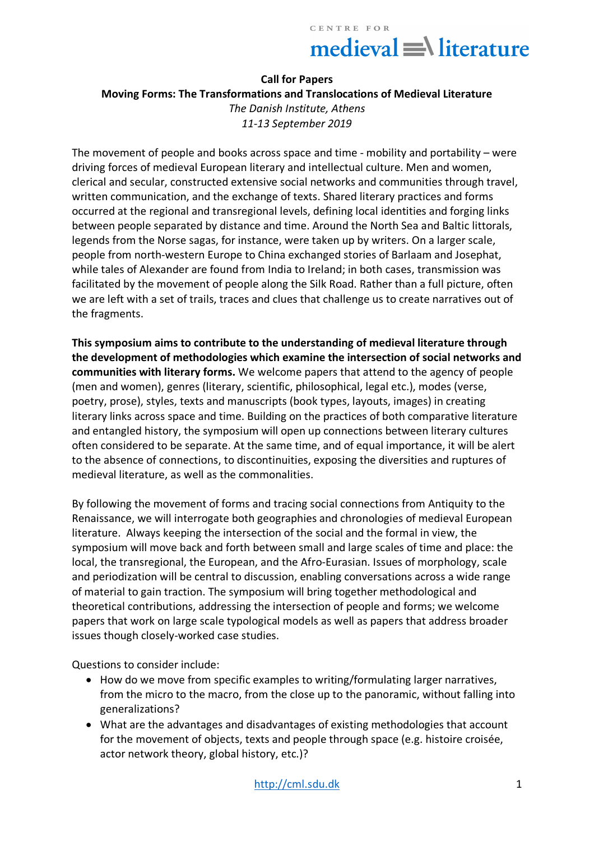# $median = \text{distance}$

#### **Call for Papers**

**Moving Forms: The Transformations and Translocations of Medieval Literature** *The Danish Institute, Athens 11-13 September 2019*

The movement of people and books across space and time - mobility and portability – were driving forces of medieval European literary and intellectual culture. Men and women, clerical and secular, constructed extensive social networks and communities through travel, written communication, and the exchange of texts. Shared literary practices and forms occurred at the regional and transregional levels, defining local identities and forging links between people separated by distance and time. Around the North Sea and Baltic littorals, legends from the Norse sagas, for instance, were taken up by writers. On a larger scale, people from north-western Europe to China exchanged stories of Barlaam and Josephat, while tales of Alexander are found from India to Ireland; in both cases, transmission was facilitated by the movement of people along the Silk Road. Rather than a full picture, often we are left with a set of trails, traces and clues that challenge us to create narratives out of the fragments.

**This symposium aims to contribute to the understanding of medieval literature through the development of methodologies which examine the intersection of social networks and communities with literary forms.** We welcome papers that attend to the agency of people (men and women), genres (literary, scientific, philosophical, legal etc.), modes (verse, poetry, prose), styles, texts and manuscripts (book types, layouts, images) in creating literary links across space and time. Building on the practices of both comparative literature and entangled history, the symposium will open up connections between literary cultures often considered to be separate. At the same time, and of equal importance, it will be alert to the absence of connections, to discontinuities, exposing the diversities and ruptures of medieval literature, as well as the commonalities.

By following the movement of forms and tracing social connections from Antiquity to the Renaissance, we will interrogate both geographies and chronologies of medieval European literature. Always keeping the intersection of the social and the formal in view, the symposium will move back and forth between small and large scales of time and place: the local, the transregional, the European, and the Afro-Eurasian. Issues of morphology, scale and periodization will be central to discussion, enabling conversations across a wide range of material to gain traction. The symposium will bring together methodological and theoretical contributions, addressing the intersection of people and forms; we welcome papers that work on large scale typological models as well as papers that address broader issues though closely-worked case studies.

Questions to consider include:

- How do we move from specific examples to writing/formulating larger narratives, from the micro to the macro, from the close up to the panoramic, without falling into generalizations?
- What are the advantages and disadvantages of existing methodologies that account for the movement of objects, texts and people through space (e.g. histoire croisée, actor network theory, global history, etc.)?